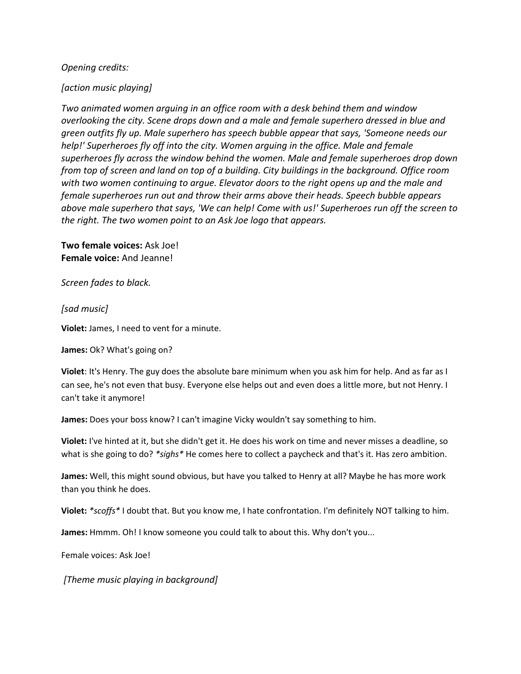## *Opening credits:*

## *[action music playing]*

*Two animated women arguing in an office room with a desk behind them and window overlooking the city. Scene drops down and a male and female superhero dressed in blue and green outfits fly up. Male superhero has speech bubble appear that says, 'Someone needs our help!' Superheroes fly off into the city. Women arguing in the office. Male and female superheroes fly across the window behind the women. Male and female superheroes drop down from top of screen and land on top of a building. City buildings in the background. Office room with two women continuing to argue. Elevator doors to the right opens up and the male and female superheroes run out and throw their arms above their heads. Speech bubble appears above male superhero that says, 'We can help! Come with us!' Superheroes run off the screen to the right. The two women point to an Ask Joe logo that appears.*

**Two female voices:** Ask Joe! **Female voice:** And Jeanne!

*Screen fades to black.*

## *[sad music]*

**Violet:** James, I need to vent for a minute.

**James:** Ok? What's going on?

**Violet**: It's Henry. The guy does the absolute bare minimum when you ask him for help. And as far as I can see, he's not even that busy. Everyone else helps out and even does a little more, but not Henry. I can't take it anymore!

**James:** Does your boss know? I can't imagine Vicky wouldn't say something to him.

**Violet:** I've hinted at it, but she didn't get it. He does his work on time and never misses a deadline, so what is she going to do? *\*sighs\** He comes here to collect a paycheck and that's it. Has zero ambition.

**James:** Well, this might sound obvious, but have you talked to Henry at all? Maybe he has more work than you think he does.

**Violet:** *\*scoffs\** I doubt that. But you know me, I hate confrontation. I'm definitely NOT talking to him.

**James:** Hmmm. Oh! I know someone you could talk to about this. Why don't you...

Female voices: Ask Joe!

*[Theme music playing in background]*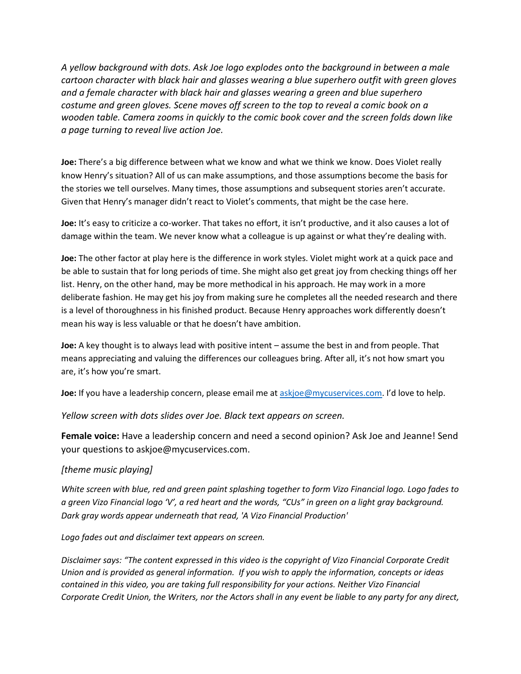*A yellow background with dots. Ask Joe logo explodes onto the background in between a male cartoon character with black hair and glasses wearing a blue superhero outfit with green gloves and a female character with black hair and glasses wearing a green and blue superhero costume and green gloves. Scene moves off screen to the top to reveal a comic book on a wooden table. Camera zooms in quickly to the comic book cover and the screen folds down like a page turning to reveal live action Joe.* 

**Joe:** There's a big difference between what we know and what we think we know. Does Violet really know Henry's situation? All of us can make assumptions, and those assumptions become the basis for the stories we tell ourselves. Many times, those assumptions and subsequent stories aren't accurate. Given that Henry's manager didn't react to Violet's comments, that might be the case here.

**Joe:** It's easy to criticize a co-worker. That takes no effort, it isn't productive, and it also causes a lot of damage within the team. We never know what a colleague is up against or what they're dealing with.

**Joe:** The other factor at play here is the difference in work styles. Violet might work at a quick pace and be able to sustain that for long periods of time. She might also get great joy from checking things off her list. Henry, on the other hand, may be more methodical in his approach. He may work in a more deliberate fashion. He may get his joy from making sure he completes all the needed research and there is a level of thoroughness in his finished product. Because Henry approaches work differently doesn't mean his way is less valuable or that he doesn't have ambition.

**Joe:** A key thought is to always lead with positive intent – assume the best in and from people. That means appreciating and valuing the differences our colleagues bring. After all, it's not how smart you are, it's how you're smart.

**Joe:** If you have a leadership concern, please email me at [askjoe@mycuservices.com.](mailto:askjoe@mycuservices.com) I'd love to help.

*Yellow screen with dots slides over Joe. Black text appears on screen.*

**Female voice:** Have a leadership concern and need a second opinion? Ask Joe and Jeanne! Send your questions to askjoe@mycuservices.com.

## *[theme music playing]*

*White screen with blue, red and green paint splashing together to form Vizo Financial logo. Logo fades to a green Vizo Financial logo 'V', a red heart and the words, "CUs" in green on a light gray background. Dark gray words appear underneath that read, 'A Vizo Financial Production'*

*Logo fades out and disclaimer text appears on screen.*

*Disclaimer says: "The content expressed in this video is the copyright of Vizo Financial Corporate Credit Union and is provided as general information. If you wish to apply the information, concepts or ideas contained in this video, you are taking full responsibility for your actions. Neither Vizo Financial Corporate Credit Union, the Writers, nor the Actors shall in any event be liable to any party for any direct,*